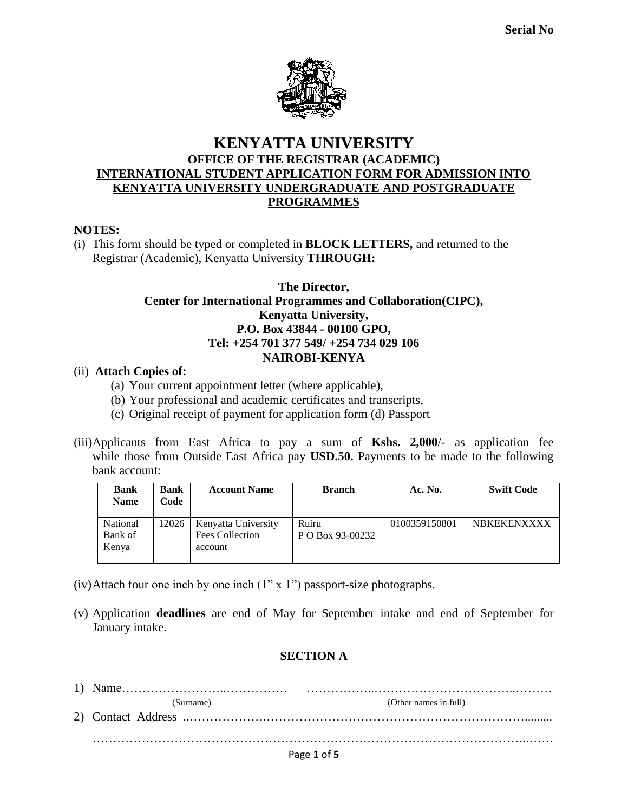

## **KENYATTA UNIVERSITY OFFICE OF THE REGISTRAR (ACADEMIC) INTERNATIONAL STUDENT APPLICATION FORM FOR ADMISSION INTO KENYATTA UNIVERSITY UNDERGRADUATE AND POSTGRADUATE PROGRAMMES**

#### **NOTES:**

(i) This form should be typed or completed in **BLOCK LETTERS,** and returned to the Registrar (Academic), Kenyatta University **THROUGH:**

#### **The Director, Center for International Programmes and Collaboration(CIPC), Kenyatta University, P.O. Box 43844 - 00100 GPO, Tel: +254 701 377 549/ +254 734 029 106 NAIROBI-KENYA**

#### (ii) **Attach Copies of:**

- (a) Your current appointment letter (where applicable),
- (b) Your professional and academic certificates and transcripts,
- (c) Original receipt of payment for application form (d) Passport
- (iii)Applicants from East Africa to pay a sum of **Kshs. 2,000**/- as application fee while those from Outside East Africa pay **USD.50.** Payments to be made to the following bank account:

| <b>Bank</b><br><b>Name</b>   | <b>Bank</b><br>Code | <b>Account Name</b>                                      | <b>Branch</b>             | Ac. No.       | <b>Swift Code</b>  |
|------------------------------|---------------------|----------------------------------------------------------|---------------------------|---------------|--------------------|
| National<br>Bank of<br>Kenya | 12026               | Kenyatta University<br><b>Fees Collection</b><br>account | Ruiru<br>P O Box 93-00232 | 0100359150801 | <b>NBKEKENXXXX</b> |

- (iv)Attach four one inch by one inch  $(1" x 1")$  passport-size photographs.
- (v) Application **deadlines** are end of May for September intake and end of September for January intake.

### **SECTION A**

| (Surname) | (Other names in full) |
|-----------|-----------------------|
|           |                       |
|           |                       |
|           | Page 1 of 5           |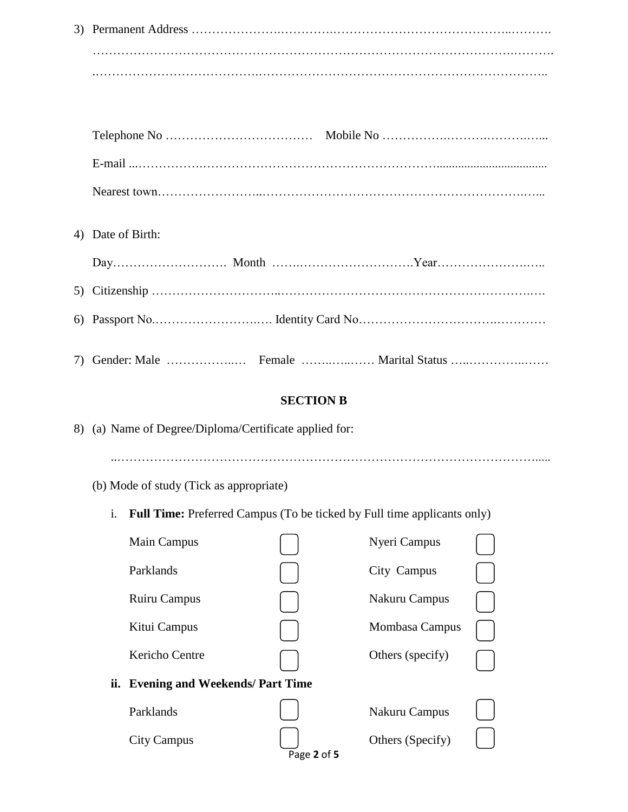| 4) Date of Birth:                                      |                  |                                                                                |  |
|--------------------------------------------------------|------------------|--------------------------------------------------------------------------------|--|
|                                                        |                  |                                                                                |  |
|                                                        |                  |                                                                                |  |
|                                                        |                  |                                                                                |  |
|                                                        |                  |                                                                                |  |
|                                                        | <b>SECTION B</b> |                                                                                |  |
|                                                        |                  |                                                                                |  |
| 8) (a) Name of Degree/Diploma/Certificate applied for: |                  |                                                                                |  |
| (b) Mode of study (Tick as appropriate)                |                  |                                                                                |  |
| i.                                                     |                  | <b>Full Time:</b> Preferred Campus (To be ticked by Full time applicants only) |  |
| Main Campus                                            |                  | Nyeri Campus                                                                   |  |
| Parklands                                              |                  |                                                                                |  |
|                                                        |                  | City Campus                                                                    |  |
| Ruiru Campus                                           |                  | Nakuru Campus                                                                  |  |
| Kitui Campus                                           |                  | Mombasa Campus                                                                 |  |
| Kericho Centre                                         |                  | Others (specify)                                                               |  |
| ii. Evening and Weekends/ Part Time                    |                  |                                                                                |  |
| Parklands                                              |                  | Nakuru Campus                                                                  |  |
| <b>City Campus</b>                                     | Page 2 of 5      | Others (Specify)                                                               |  |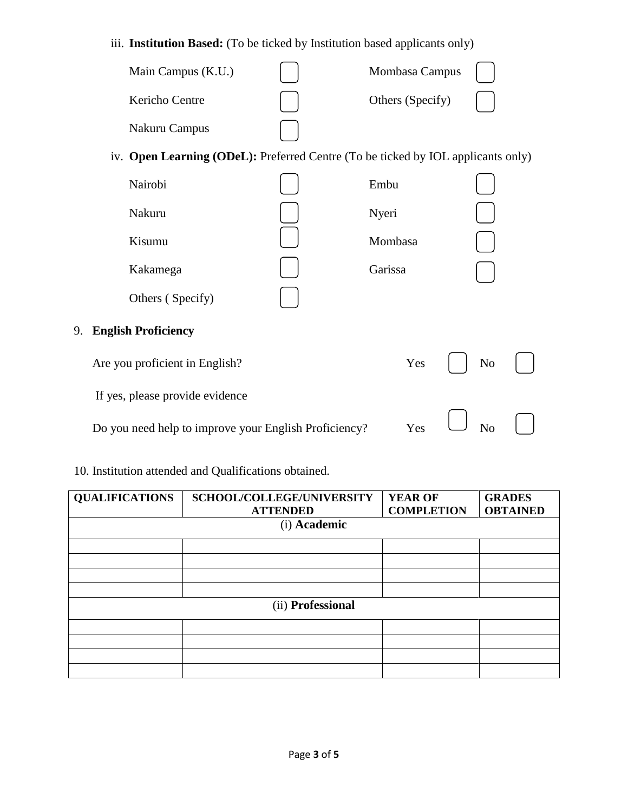## iii. **Institution Based:** (To be ticked by Institution based applicants only)

| Main Campus (K.U.) | Mombasa Campus   |  |
|--------------------|------------------|--|
| Kericho Centre     | Others (Specify) |  |
| Nakuru Campus      |                  |  |

# iv. **Open Learning (ODeL):** Preferred Centre (To be ticked by IOL applicants only)

| Nairobi                          | Embu    |                |  |
|----------------------------------|---------|----------------|--|
| Nakuru                           | Nyeri   |                |  |
| Kisumu                           | Mombasa |                |  |
| Kakamega                         | Garissa |                |  |
| Others (Specify)                 |         |                |  |
| <b>English Proficiency</b><br>9. |         |                |  |
| Are you proficient in English?   | Yes     | N <sub>o</sub> |  |
| If yes, please provide evidence  |         |                |  |

Do you need help to improve your English Proficiency? Yes  $\Box$  No  $\Box$ 

# 10. Institution attended and Qualifications obtained.

| <b>QUALIFICATIONS</b> | SCHOOL/COLLEGE/UNIVERSITY<br><b>ATTENDED</b> | <b>YEAR OF</b><br><b>COMPLETION</b> | <b>GRADES</b><br><b>OBTAINED</b> |  |  |  |  |
|-----------------------|----------------------------------------------|-------------------------------------|----------------------------------|--|--|--|--|
|                       | (i) Academic                                 |                                     |                                  |  |  |  |  |
|                       |                                              |                                     |                                  |  |  |  |  |
|                       |                                              |                                     |                                  |  |  |  |  |
|                       |                                              |                                     |                                  |  |  |  |  |
|                       |                                              |                                     |                                  |  |  |  |  |
| (ii) Professional     |                                              |                                     |                                  |  |  |  |  |
|                       |                                              |                                     |                                  |  |  |  |  |
|                       |                                              |                                     |                                  |  |  |  |  |
|                       |                                              |                                     |                                  |  |  |  |  |
|                       |                                              |                                     |                                  |  |  |  |  |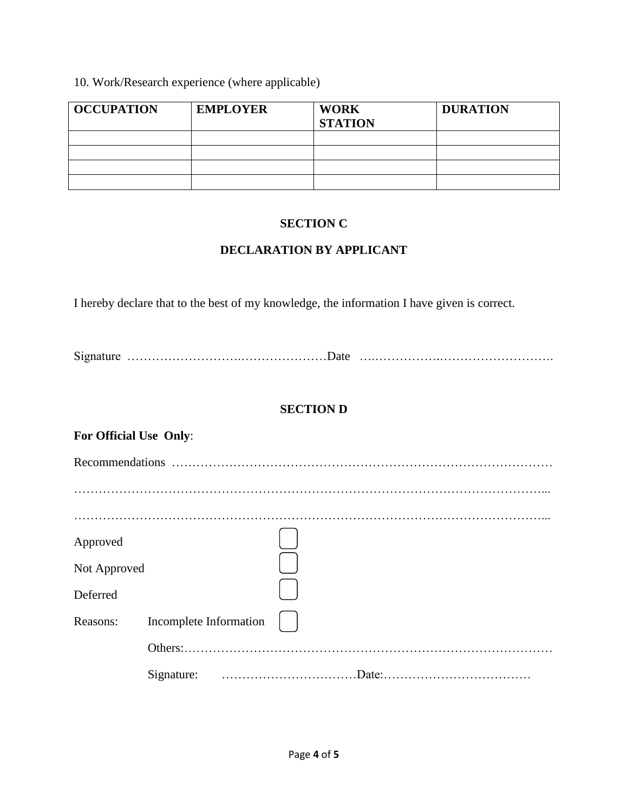## 10. Work/Research experience (where applicable)

| <b>OCCUPATION</b> | <b>EMPLOYER</b> | <b>WORK</b><br><b>STATION</b> | <b>DURATION</b> |
|-------------------|-----------------|-------------------------------|-----------------|
|                   |                 |                               |                 |
|                   |                 |                               |                 |
|                   |                 |                               |                 |
|                   |                 |                               |                 |

### **SECTION C**

### **DECLARATION BY APPLICANT**

I hereby declare that to the best of my knowledge, the information I have given is correct.

Signature ……………………….…………………Date ….…………….……………………….

## **SECTION D**

| For Official Use Only: |                        |  |
|------------------------|------------------------|--|
|                        |                        |  |
|                        |                        |  |
|                        |                        |  |
| Approved               |                        |  |
| Not Approved           |                        |  |
| Deferred               |                        |  |
| Reasons:               | Incomplete Information |  |
|                        |                        |  |
|                        |                        |  |